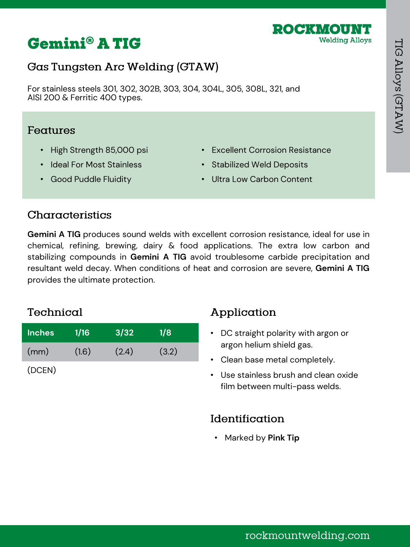

# **Gemini® A TIG**

## Gas Tungsten Arc Welding (GTAW)

For stainless steels 301, 302, 302B, 303, 304, 304L, 305, 308L, 321, and AISI 200 & Ferritic 400 types.

#### Features

- High Strength 85,000 psi
- Ideal For Most Stainless

• Good Puddle Fluidity

- Excellent Corrosion Resistance
- Stabilized Weld Deposits
- Ultra Low Carbon Content

## Characteristics

**Gemini A TIG** produces sound welds with excellent corrosion resistance, ideal for use in chemical, refining, brewing, dairy & food applications. The extra low carbon and stabilizing compounds in **Gemini A TIG** avoid troublesome carbide precipitation and resultant weld decay. When conditions of heat and corrosion are severe, **Gemini A TIG** provides the ultimate protection.

#### Technical

| <b>Inches</b> | 1/16  | 3/32  | 1/8   |
|---------------|-------|-------|-------|
| (mm)          | (1.6) | (2.4) | (3.2) |

(DCEN)

## Application

- DC straight polarity with argon or argon helium shield gas.
- Clean base metal completely.
- Use stainless brush and clean oxide film between multi-pass welds.

#### Identification

• Marked by **Pink Tip**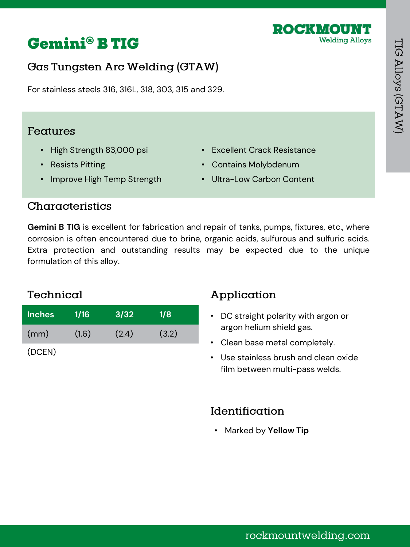



For stainless steels 316, 316L, 318, 303, 315 and 329.

#### Features

- High Strength 83,000 psi
- Resists Pitting
- Improve High Temp Strength
- Excellent Crack Resistance
- Contains Molybdenum
- Ultra-Low Carbon Content

#### Characteristics

**Gemini B TIG** is excellent for fabrication and repair of tanks, pumps, fixtures, etc., where corrosion is often encountered due to brine, organic acids, sulfurous and sulfuric acids. Extra protection and outstanding results may be expected due to the unique formulation of this alloy.

## Technical

| <b>Inches</b> | 1/16  | 3/32  | 1/8   |  |
|---------------|-------|-------|-------|--|
| (mm)          | (1.6) | (2.4) | (3.2) |  |
| (DCEN)        |       |       |       |  |

## Application

- DC straight polarity with argon or argon helium shield gas.
- Clean base metal completely.
- Use stainless brush and clean oxide film between multi-pass welds.

#### Identification

• Marked by **Yellow Tip**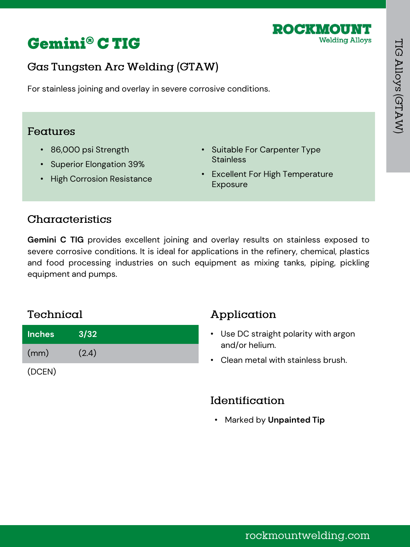



For stainless joining and overlay in severe corrosive conditions.

#### Features

- 86,000 psi Strength
- Superior Elongation 39%
- High Corrosion Resistance
- Suitable For Carpenter Type **Stainless**
- Excellent For High Temperature Exposure

## Characteristics

**Gemini C TIG** provides excellent joining and overlay results on stainless exposed to severe corrosive conditions. It is ideal for applications in the refinery, chemical, plastics and food processing industries on such equipment as mixing tanks, piping, pickling equipment and pumps.

## Technical

| <b>Inches</b> | 3/32  |  |
|---------------|-------|--|
| (mm)          | (2.4) |  |
| (DCEN)        |       |  |

## Application

- Use DC straight polarity with argon and/or helium.
- Clean metal with stainless brush.

#### Identification

• Marked by **Unpainted Tip**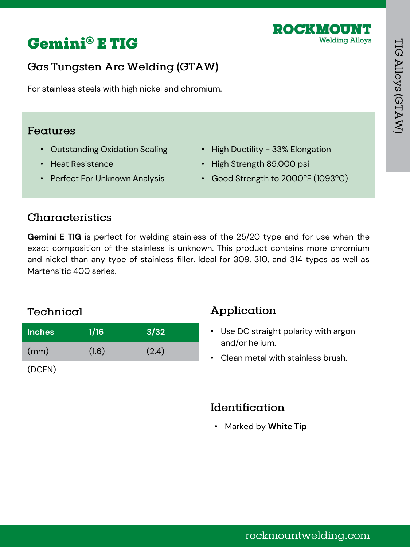



For stainless steels with high nickel and chromium.

#### Features

- Outstanding Oxidation Sealing
- Heat Resistance
- Perfect For Unknown Analysis
- High Ductility 33% Elongation
- High Strength 85,000 psi
- Good Strength to 2000ºF (1093ºC)

#### Characteristics

**Gemini E TIG** is perfect for welding stainless of the 25/20 type and for use when the exact composition of the stainless is unknown. This product contains more chromium and nickel than any type of stainless filler. Ideal for 309, 310, and 314 types as well as Martensitic 400 series.

#### Technical

| <b>Inches</b> | 1/16  | $\sqrt{3/32}$ |
|---------------|-------|---------------|
| (mm)          | (1.6) | (2.4)         |

(DCEN)

## Application

- Use DC straight polarity with argon and/or helium.
- Clean metal with stainless brush.

#### Identification

• Marked by **White Tip**